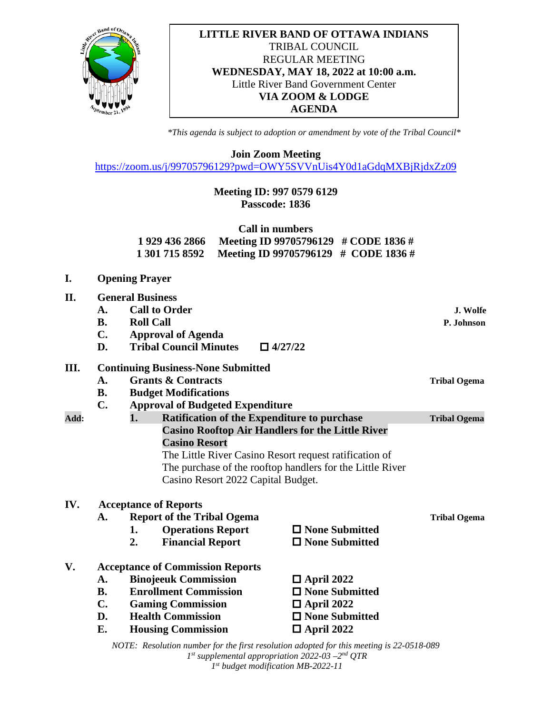

## **LITTLE RIVER BAND OF OTTAWA INDIANS** TRIBAL COUNCIL REGULAR MEETING **WEDNESDAY, MAY 18, 2022 at 10:00 a.m.** Little River Band Government Center **VIA ZOOM & LODGE AGENDA**

*\*This agenda is subject to adoption or amendment by vote of the Tribal Council\**

**Join Zoom Meeting**

<https://zoom.us/j/99705796129?pwd=OWY5SVVnUis4Y0d1aGdqMXBjRjdxZz09>

## **Meeting ID: 997 0579 6129 Passcode: 1836**

| Call in numbers |                                                     |  |  |  |  |
|-----------------|-----------------------------------------------------|--|--|--|--|
| 1 929 436 2866  | Meeting ID 99705796129 # CODE 1836 #                |  |  |  |  |
|                 | 1 301 715 8592 Meeting ID 99705796129 # CODE 1836 # |  |  |  |  |

**I. Opening Prayer**

| П.   |                                         | <b>General Business</b>                   |                                                           |                     |
|------|-----------------------------------------|-------------------------------------------|-----------------------------------------------------------|---------------------|
|      | A.                                      | <b>Call to Order</b>                      |                                                           | J. Wolfe            |
|      | <b>B.</b>                               | <b>Roll Call</b>                          |                                                           | P. Johnson          |
|      | $\mathbf{C}$ .                          | <b>Approval of Agenda</b>                 |                                                           |                     |
|      | D.                                      | <b>Tribal Council Minutes</b>             | $\Box$ 4/27/22                                            |                     |
| Ш.   |                                         | <b>Continuing Business-None Submitted</b> |                                                           |                     |
|      | A.                                      | <b>Grants &amp; Contracts</b>             |                                                           | <b>Tribal Ogema</b> |
|      | <b>B.</b>                               | <b>Budget Modifications</b>               |                                                           |                     |
|      | $\mathbf{C}$ .                          | <b>Approval of Budgeted Expenditure</b>   |                                                           |                     |
| Add: |                                         | 1.                                        | <b>Ratification of the Expenditure to purchase</b>        | <b>Tribal Ogema</b> |
|      |                                         |                                           | <b>Casino Rooftop Air Handlers for the Little River</b>   |                     |
|      |                                         | <b>Casino Resort</b>                      |                                                           |                     |
|      |                                         |                                           | The Little River Casino Resort request ratification of    |                     |
|      |                                         |                                           | The purchase of the rooftop handlers for the Little River |                     |
|      |                                         | Casino Resort 2022 Capital Budget.        |                                                           |                     |
| IV.  |                                         | <b>Acceptance of Reports</b>              |                                                           |                     |
|      | <b>Report of the Tribal Ogema</b><br>A. |                                           |                                                           | <b>Tribal Ogema</b> |
|      |                                         | <b>Operations Report</b><br>1.            | $\Box$ None Submitted                                     |                     |
|      |                                         | 2.<br><b>Financial Report</b>             | $\Box$ None Submitted                                     |                     |
|      |                                         |                                           |                                                           |                     |

## **V. Acceptance of Commission Reports**  A. Binojeeuk Commission **□** April 2022 **B. Enrollment Commission D** None Submitted **C. Gaming Commission**  $\Box$  **April 2022 D. Health Commission**  $\Box$  **None Submitted**

**E. Housing Commission**  $\Box$  **April 2022** 

*NOTE: Resolution number for the first resolution adopted for this meeting is 22-0518-089 1st supplemental appropriation 2022-03 –2nd QTR 1st budget modification MB-2022-11*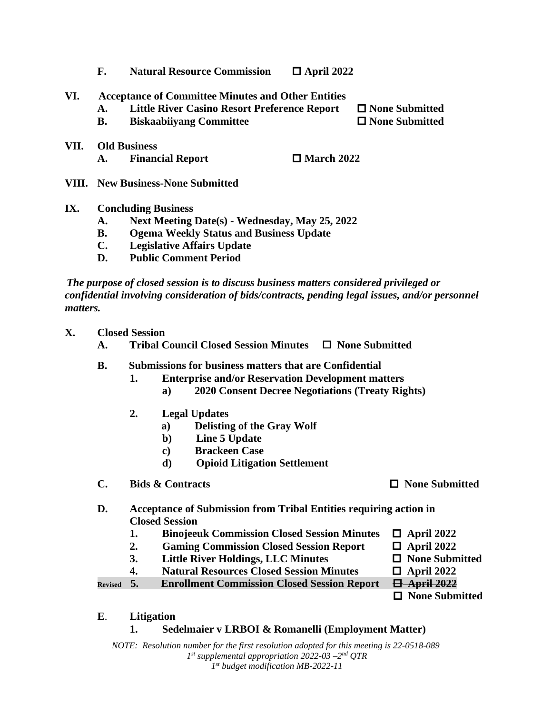- **F.** Natural Resource Commission **□** April 2022
- **VI. Acceptance of Committee Minutes and Other Entities**
	- **A. Little River Casino Resort Preference Report None Submitted**
	- **B.** Biskaabiivang Committee **D None Submitted**
- **VII. Old Business A.** Financial Report  $\Box$  March 2022
- **VIII. New Business-None Submitted**
- **IX. Concluding Business**
	- **A. Next Meeting Date(s) - Wednesday, May 25, 2022**
	- **B. Ogema Weekly Status and Business Update**
	- **C. Legislative Affairs Update**
	- **D. Public Comment Period**

 *The purpose of closed session is to discuss business matters considered privileged or confidential involving consideration of bids/contracts, pending legal issues, and/or personnel matters.*

- **X. Closed Session**
	- **A. Tribal Council Closed Session Minutes None Submitted**
	- **B. Submissions for business matters that are Confidential**
		- **1. Enterprise and/or Reservation Development matters**
			- **a) 2020 Consent Decree Negotiations (Treaty Rights)**
		- **2. Legal Updates**
			- **a) Delisting of the Gray Wolf**
			- **b) Line 5 Update**
			- **c) Brackeen Case**
			- **d) Opioid Litigation Settlement**
	- **C. Bids & Contracts None Submitted**
	- **D. Acceptance of Submission from Tribal Entities requiring action in Closed Session**
		- **1. Binojeeuk Commission Closed Session Minutes**  $\Box$  **April 2022**
		- 2. **Gaming Commission Closed Session Report**  $\Box$  April 2022
		- **3. Little River Holdings, LLC Minutes**  $\Box$  None Submitted
		- **4. Natural Resources Closed Session Minutes**  $\Box$  **April 2022**

**Revised 5. Enrollment Commission Closed Session Report April 2022**

 **None Submitted**

**E**. **Litigation**

## **1. Sedelmaier v LRBOI & Romanelli (Employment Matter)**

*NOTE: Resolution number for the first resolution adopted for this meeting is 22-0518-089 1st supplemental appropriation 2022-03 –2nd QTR 1st budget modification MB-2022-11*

- -
	-

- -
	-
	-
	-